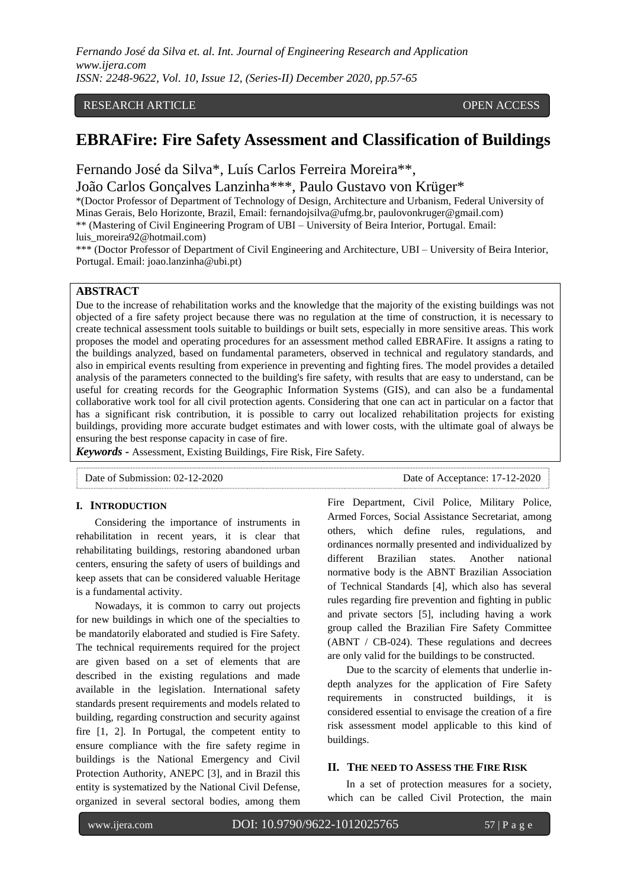RESEARCH ARTICLE OPEN ACCESS

# **EBRAFire: Fire Safety Assessment and Classification of Buildings**

Fernando José da Silva\*, Luís Carlos Ferreira Moreira\*\*,

João Carlos Gonçalves Lanzinha\*\*\*, Paulo Gustavo von Krüger\*

\*(Doctor Professor of Department of Technology of Design, Architecture and Urbanism, Federal University of Minas Gerais, Belo Horizonte, Brazil, Email: fernandojsilva@ufmg.br, paulovonkruger@gmail.com) \*\* (Mastering of Civil Engineering Program of UBI – University of Beira Interior, Portugal. Email:

luis\_moreira92@hotmail.com)

\*\*\* (Doctor Professor of Department of Civil Engineering and Architecture, UBI – University of Beira Interior, Portugal. Email: joao.lanzinha@ubi.pt)

## **ABSTRACT**

Due to the increase of rehabilitation works and the knowledge that the majority of the existing buildings was not objected of a fire safety project because there was no regulation at the time of construction, it is necessary to create technical assessment tools suitable to buildings or built sets, especially in more sensitive areas. This work proposes the model and operating procedures for an assessment method called EBRAFire. It assigns a rating to the buildings analyzed, based on fundamental parameters, observed in technical and regulatory standards, and also in empirical events resulting from experience in preventing and fighting fires. The model provides a detailed analysis of the parameters connected to the building's fire safety, with results that are easy to understand, can be useful for creating records for the Geographic Information Systems (GIS), and can also be a fundamental collaborative work tool for all civil protection agents. Considering that one can act in particular on a factor that has a significant risk contribution, it is possible to carry out localized rehabilitation projects for existing buildings, providing more accurate budget estimates and with lower costs, with the ultimate goal of always be ensuring the best response capacity in case of fire.

*Keywords* **-** Assessment, Existing Buildings, Fire Risk, Fire Safety.

Date of Submission: 02-12-2020 Date of Acceptance: 17-12-2020

## **I. INTRODUCTION**

Considering the importance of instruments in rehabilitation in recent years, it is clear that rehabilitating buildings, restoring abandoned urban centers, ensuring the safety of users of buildings and keep assets that can be considered valuable Heritage is a fundamental activity.

Nowadays, it is common to carry out projects for new buildings in which one of the specialties to be mandatorily elaborated and studied is Fire Safety. The technical requirements required for the project are given based on a set of elements that are described in the existing regulations and made available in the legislation. International safety standards present requirements and models related to building, regarding construction and security against fire [1, 2]. In Portugal, the competent entity to ensure compliance with the fire safety regime in buildings is the National Emergency and Civil Protection Authority, ANEPC [3], and in Brazil this entity is systematized by the National Civil Defense, organized in several sectoral bodies, among them

Fire Department, Civil Police, Military Police, Armed Forces, Social Assistance Secretariat, among others, which define rules, regulations, and ordinances normally presented and individualized by different Brazilian states. Another national normative body is the ABNT Brazilian Association of Technical Standards [4], which also has several rules regarding fire prevention and fighting in public and private sectors [5], including having a work group called the Brazilian Fire Safety Committee (ABNT / CB-024). These regulations and decrees are only valid for the buildings to be constructed.

Due to the scarcity of elements that underlie indepth analyzes for the application of Fire Safety requirements in constructed buildings, it is considered essential to envisage the creation of a fire risk assessment model applicable to this kind of buildings.

### **II. THE NEED TO ASSESS THE FIRE RISK**

In a set of protection measures for a society, which can be called Civil Protection, the main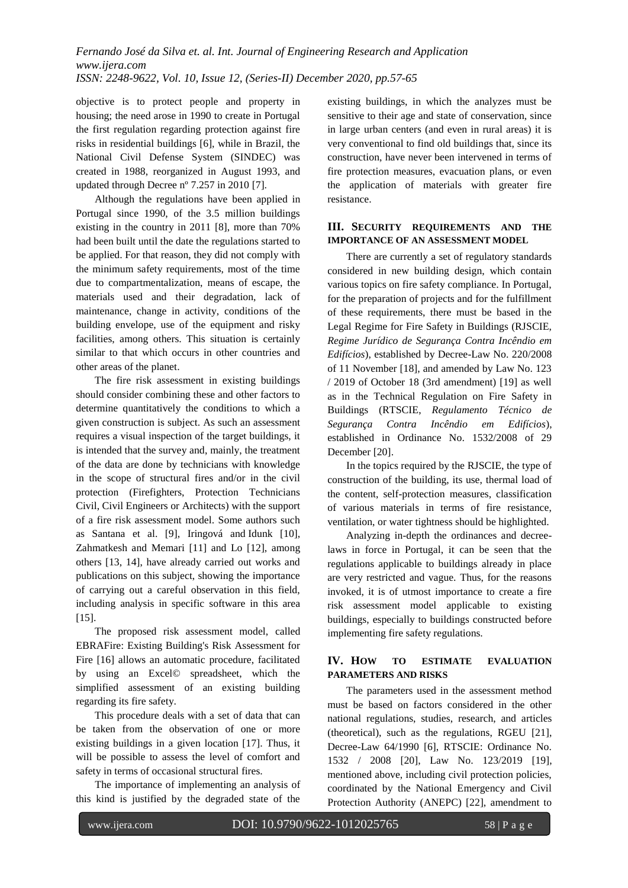objective is to protect people and property in housing; the need arose in 1990 to create in Portugal the first regulation regarding protection against fire risks in residential buildings [6], while in Brazil, the National Civil Defense System (SINDEC) was created in 1988, reorganized in August 1993, and updated through Decree nº 7.257 in 2010 [7].

Although the regulations have been applied in Portugal since 1990, of the 3.5 million buildings existing in the country in 2011 [8], more than 70% had been built until the date the regulations started to be applied. For that reason, they did not comply with the minimum safety requirements, most of the time due to compartmentalization, means of escape, the materials used and their degradation, lack of maintenance, change in activity, conditions of the building envelope, use of the equipment and risky facilities, among others. This situation is certainly similar to that which occurs in other countries and other areas of the planet.

The fire risk assessment in existing buildings should consider combining these and other factors to determine quantitatively the conditions to which a given construction is subject. As such an assessment requires a visual inspection of the target buildings, it is intended that the survey and, mainly, the treatment of the data are done by technicians with knowledge in the scope of structural fires and/or in the civil protection (Firefighters, Protection Technicians Civil, Civil Engineers or Architects) with the support of a fire risk assessment model. Some authors such as Santana et al. [9], [Iringová](https://apps.webofknowledge.com/OutboundService.do?SID=6CLOl99iavYiB5eB673&mode=rrcAuthorRecordService&action=go&product=WOS&lang=pt_BR&daisIds=4405684) and [Idunk \[10\],](https://apps.webofknowledge.com/OutboundService.do?SID=6CLOl99iavYiB5eB673&mode=rrcAuthorRecordService&action=go&product=WOS&lang=pt_BR&daisIds=10179827) Zahmatkesh and Memari [11] and Lo [12], among others [13, 14], have already carried out works and publications on this subject, showing the importance of carrying out a careful observation in this field, including analysis in specific software in this area [15].

The proposed risk assessment model, called EBRAFire: Existing Building's Risk Assessment for Fire [16] allows an automatic procedure, facilitated by using an Excel© spreadsheet, which the simplified assessment of an existing building regarding its fire safety.

This procedure deals with a set of data that can be taken from the observation of one or more existing buildings in a given location [17]. Thus, it will be possible to assess the level of comfort and safety in terms of occasional structural fires.

The importance of implementing an analysis of this kind is justified by the degraded state of the

existing buildings, in which the analyzes must be sensitive to their age and state of conservation, since in large urban centers (and even in rural areas) it is very conventional to find old buildings that, since its construction, have never been intervened in terms of fire protection measures, evacuation plans, or even the application of materials with greater fire resistance.

## **III. SECURITY REQUIREMENTS AND THE IMPORTANCE OF AN ASSESSMENT MODEL**

There are currently a set of regulatory standards considered in new building design, which contain various topics on fire safety compliance. In Portugal, for the preparation of projects and for the fulfillment of these requirements, there must be based in the Legal Regime for Fire Safety in Buildings (RJSCIE, *Regime Jurídico de Segurança Contra Incêndio em Edifícios*), established by Decree-Law No. 220/2008 of 11 November [18], and amended by Law No. 123 / 2019 of October 18 (3rd amendment) [19] as well as in the Technical Regulation on Fire Safety in Buildings (RTSCIE, *Regulamento Técnico de Segurança Contra Incêndio em Edifícios*), established in Ordinance No. 1532/2008 of 29 December [20].

In the topics required by the RJSCIE, the type of construction of the building, its use, thermal load of the content, self-protection measures, classification of various materials in terms of fire resistance, ventilation, or water tightness should be highlighted.

Analyzing in-depth the ordinances and decreelaws in force in Portugal, it can be seen that the regulations applicable to buildings already in place are very restricted and vague. Thus, for the reasons invoked, it is of utmost importance to create a fire risk assessment model applicable to existing buildings, especially to buildings constructed before implementing fire safety regulations.

# **IV. HOW TO ESTIMATE EVALUATION PARAMETERS AND RISKS**

The parameters used in the assessment method must be based on factors considered in the other national regulations, studies, research, and articles (theoretical), such as the regulations, RGEU [21], Decree-Law 64/1990 [6], RTSCIE: Ordinance No. 1532 / 2008 [20], Law No. 123/2019 [19], mentioned above, including civil protection policies, coordinated by the National Emergency and Civil Protection Authority (ANEPC) [22], amendment to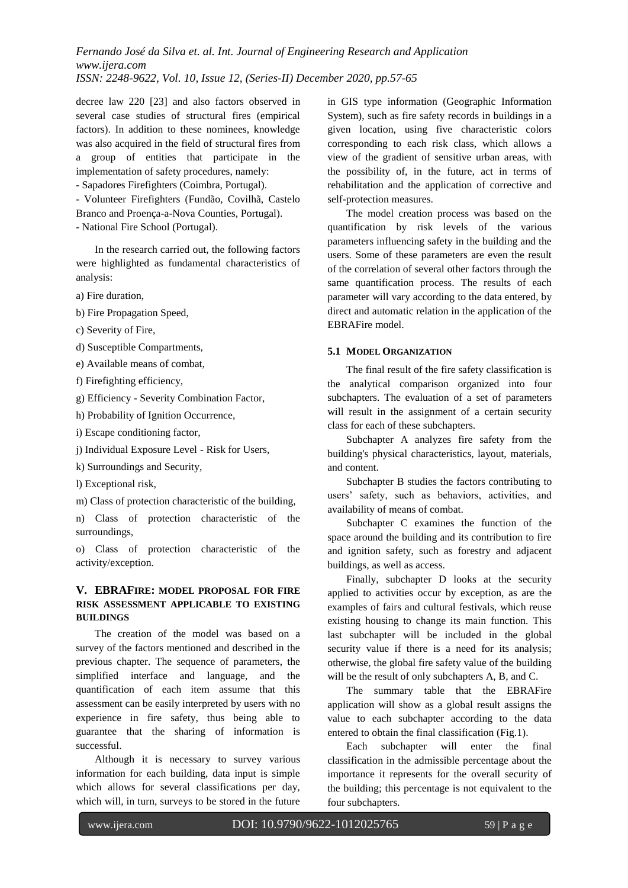decree law 220 [23] and also factors observed in several case studies of structural fires (empirical factors). In addition to these nominees, knowledge was also acquired in the field of structural fires from a group of entities that participate in the implementation of safety procedures, namely:

- Sapadores Firefighters (Coimbra, Portugal).

- Volunteer Firefighters (Fundão, Covilhã, Castelo Branco and Proença-a-Nova Counties, Portugal).

- National Fire School (Portugal).

In the research carried out, the following factors were highlighted as fundamental characteristics of analysis:

a) Fire duration,

b) Fire Propagation Speed,

c) Severity of Fire,

d) Susceptible Compartments,

e) Available means of combat,

f) Firefighting efficiency,

g) Efficiency - Severity Combination Factor,

h) Probability of Ignition Occurrence,

i) Escape conditioning factor,

j) Individual Exposure Level - Risk for Users,

k) Surroundings and Security,

l) Exceptional risk,

m) Class of protection characteristic of the building,

n) Class of protection characteristic of the surroundings,

o) Class of protection characteristic of the activity/exception.

## **V. EBRAFIRE: MODEL PROPOSAL FOR FIRE RISK ASSESSMENT APPLICABLE TO EXISTING BUILDINGS**

The creation of the model was based on a survey of the factors mentioned and described in the previous chapter. The sequence of parameters, the simplified interface and language, and the quantification of each item assume that this assessment can be easily interpreted by users with no experience in fire safety, thus being able to guarantee that the sharing of information is successful.

Although it is necessary to survey various information for each building, data input is simple which allows for several classifications per day, which will, in turn, surveys to be stored in the future in GIS type information (Geographic Information System), such as fire safety records in buildings in a given location, using five characteristic colors corresponding to each risk class, which allows a view of the gradient of sensitive urban areas, with the possibility of, in the future, act in terms of rehabilitation and the application of corrective and self-protection measures.

The model creation process was based on the quantification by risk levels of the various parameters influencing safety in the building and the users. Some of these parameters are even the result of the correlation of several other factors through the same quantification process. The results of each parameter will vary according to the data entered, by direct and automatic relation in the application of the EBRAFire model.

### **5.1 MODEL ORGANIZATION**

The final result of the fire safety classification is the analytical comparison organized into four subchapters. The evaluation of a set of parameters will result in the assignment of a certain security class for each of these subchapters.

Subchapter A analyzes fire safety from the building's physical characteristics, layout, materials, and content.

Subchapter B studies the factors contributing to users' safety, such as behaviors, activities, and availability of means of combat.

Subchapter C examines the function of the space around the building and its contribution to fire and ignition safety, such as forestry and adjacent buildings, as well as access.

Finally, subchapter D looks at the security applied to activities occur by exception, as are the examples of fairs and cultural festivals, which reuse existing housing to change its main function. This last subchapter will be included in the global security value if there is a need for its analysis; otherwise, the global fire safety value of the building will be the result of only subchapters A, B, and C.

The summary table that the EBRAFire application will show as a global result assigns the value to each subchapter according to the data entered to obtain the final classification (Fig.1).

Each subchapter will enter the final classification in the admissible percentage about the importance it represents for the overall security of the building; this percentage is not equivalent to the four subchapters.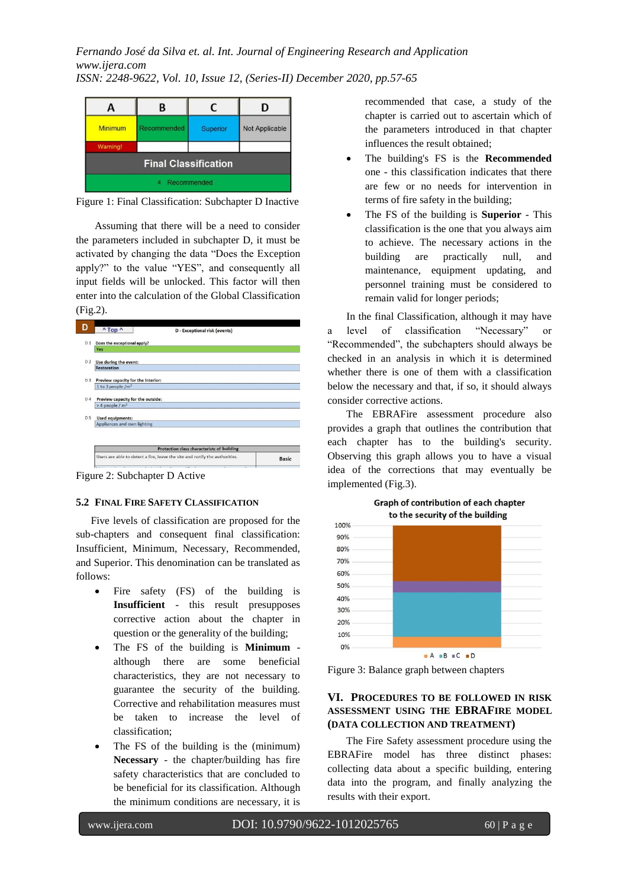

Figure 1: Final Classification: Subchapter D Inactive

Assuming that there will be a need to consider the parameters included in subchapter D, it must be activated by changing the data "Does the Exception apply?" to the value "YES", and consequently all input fields will be unlocked. This factor will then enter into the calculation of the Global Classification (Fig.2).

|                | $^{\prime}$ Top $^{\prime}$                                        | D - Exceptional risk (events)                                               |              |  |
|----------------|--------------------------------------------------------------------|-----------------------------------------------------------------------------|--------------|--|
| D <sub>1</sub> | Does the exceptional apply?                                        |                                                                             |              |  |
|                | Yes                                                                |                                                                             |              |  |
| D <sub>2</sub> | Use during the event:                                              |                                                                             |              |  |
|                | <b>Restoration</b>                                                 |                                                                             |              |  |
| D <sub>3</sub> | Preview capacity for the interior:                                 |                                                                             |              |  |
|                | 1 to 3 people $/m2$                                                |                                                                             |              |  |
| D <sub>4</sub> | Preview capacity for the outside:<br>$>$ 4 people / m <sup>2</sup> |                                                                             |              |  |
| D <sub>5</sub> | Used equipments:                                                   |                                                                             |              |  |
|                | Appliances and own lighting                                        |                                                                             |              |  |
|                |                                                                    |                                                                             |              |  |
|                | Protection class characteristc of building                         |                                                                             |              |  |
|                |                                                                    | Users are able to detect a fire, leave the site and notify the authorities. | <b>Basic</b> |  |
|                |                                                                    |                                                                             |              |  |

Figure 2: Subchapter D Active

#### **5.2 FINAL FIRE SAFETY CLASSIFICATION**

Five levels of classification are proposed for the sub-chapters and consequent final classification: Insufficient, Minimum, Necessary, Recommended, and Superior. This denomination can be translated as follows:

- Fire safety (FS) of the building is **Insufficient** - this result presupposes corrective action about the chapter in question or the generality of the building;
- The FS of the building is **Minimum** although there are some beneficial characteristics, they are not necessary to guarantee the security of the building. Corrective and rehabilitation measures must be taken to increase the level of classification;
- The FS of the building is the (minimum) **Necessary** - the chapter/building has fire safety characteristics that are concluded to be beneficial for its classification. Although the minimum conditions are necessary, it is

recommended that case, a study of the chapter is carried out to ascertain which of the parameters introduced in that chapter influences the result obtained;

- The building's FS is the **Recommended** one - this classification indicates that there are few or no needs for intervention in terms of fire safety in the building;
- The FS of the building is **Superior** This classification is the one that you always aim to achieve. The necessary actions in the building are practically null, and maintenance, equipment updating, and personnel training must be considered to remain valid for longer periods;

In the final Classification, although it may have a level of classification "Necessary" or "Recommended", the subchapters should always be checked in an analysis in which it is determined whether there is one of them with a classification below the necessary and that, if so, it should always consider corrective actions.

The EBRAFire assessment procedure also provides a graph that outlines the contribution that each chapter has to the building's security. Observing this graph allows you to have a visual idea of the corrections that may eventually be implemented (Fig.3).



Figure 3: Balance graph between chapters

# **VI. PROCEDURES TO BE FOLLOWED IN RISK ASSESSMENT USING THE EBRAFIRE MODEL (DATA COLLECTION AND TREATMENT)**

The Fire Safety assessment procedure using the EBRAFire model has three distinct phases: collecting data about a specific building, entering data into the program, and finally analyzing the results with their export.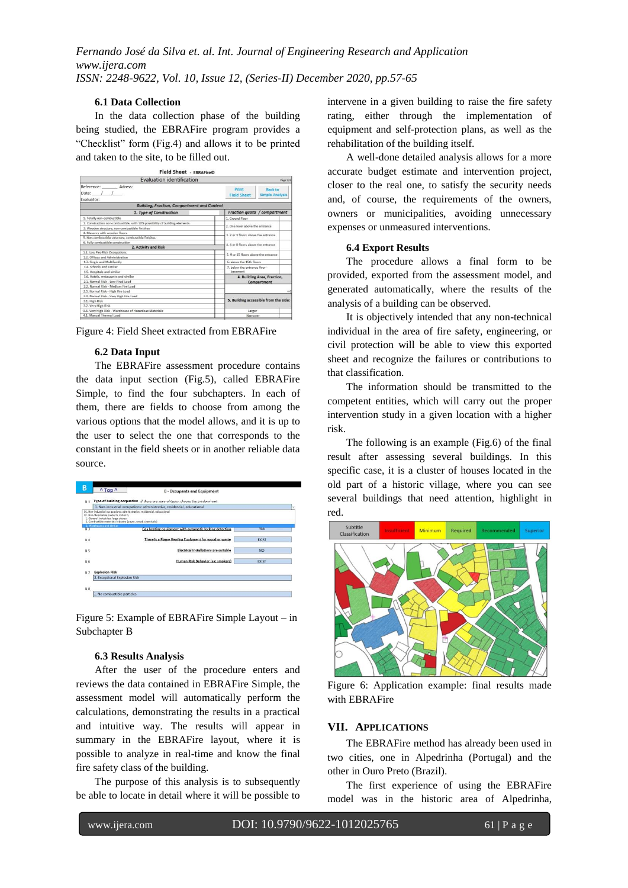# *Fernando José da Silva et. al. Int. Journal of Engineering Research and Application www.ijera.com*

*ISSN: 2248-9622, Vol. 10, Issue 12, (Series-II) December 2020, pp.57-65*

## **6.1 Data Collection**

In the data collection phase of the building being studied, the EBRAFire program provides a "Checklist" form (Fig.4) and allows it to be printed and taken to the site, to be filled out.

| <b>Evaluation identification</b>                                           |                                            |                                          |  |
|----------------------------------------------------------------------------|--------------------------------------------|------------------------------------------|--|
| Reference: Adress:<br>Date: $/ /$<br>Evaluator:                            | Print<br><b>Field Sheet</b>                | <b>Back to</b><br><b>Simple Analysis</b> |  |
| <b>Building, Fraction, Compartment and Content</b>                         |                                            |                                          |  |
| 1. Type of Construction                                                    | Fraction quota / compartment               |                                          |  |
| 1. Totally non-combustible                                                 | 1. Ground Floor                            |                                          |  |
| 2. Construction non-combustible, with 10% possibility of building elements | 2. One level above the entrance            |                                          |  |
| 3. Wooden structure, non-combustible finishes.                             |                                            |                                          |  |
| 4. Masonry with wooden floors                                              | 3. 2 or 3 floors above the entrance        |                                          |  |
| 5. Non-combustible structure, combustible finishes                         |                                            |                                          |  |
| 6. Fully combustible construction                                          | 4.4 or 8 floors above the entrance         |                                          |  |
| 2. Activity and Risk                                                       |                                            |                                          |  |
| 1.1. Low Fire Risk Occupations<br>5. 9 or 15 floors above the entrance     |                                            |                                          |  |
| 1.2. Offices and Administration                                            |                                            |                                          |  |
| 1.3. Single and Multifamily                                                | 6. above the 15th floors                   |                                          |  |
| 1.4. Schools and similar<br>7, below the entrance floor -                  |                                            |                                          |  |
| 1.5. Hospitals and similar                                                 | hasement                                   |                                          |  |
| 1.6. Hotels, restaurants and similar                                       | 4. Building Area, Fraction.<br>Compartment |                                          |  |
| 2.1. Normal Risk - Low Fired Load                                          |                                            |                                          |  |
| 2.2. Normal Risk - Medium Fire Load                                        |                                            |                                          |  |
| 2.3. Normal Risk - High Fire Load                                          |                                            | m2                                       |  |
| 2.4. Normal Risk - Very High Fire Load                                     |                                            |                                          |  |
| 3.1. High Risk                                                             | 5. Building accessible from the side:      |                                          |  |
| 3.2. Very High Risk                                                        |                                            |                                          |  |
| 3.3. Very High Risk - Warehouse of Hazardous Materials                     | Larger                                     |                                          |  |
| 4.1. Manual Thermal Load                                                   |                                            | Narrower                                 |  |

Figure 4: Field Sheet extracted from EBRAFire

## **6.2 Data Input**

The EBRAFire assessment procedure contains the data input section (Fig.5), called EBRAFire Simple, to find the four subchapters. In each of them, there are fields to choose from among the various options that the model allows, and it is up to the user to select the one that corresponds to the constant in the field sheets or in another reliable data source.



Figure 5: Example of EBRAFire Simple Layout – in Subchapter B

### **6.3 Results Analysis**

After the user of the procedure enters and reviews the data contained in EBRAFire Simple, the assessment model will automatically perform the calculations, demonstrating the results in a practical and intuitive way. The results will appear in summary in the EBRAFire layout, where it is possible to analyze in real-time and know the final fire safety class of the building.

The purpose of this analysis is to subsequently be able to locate in detail where it will be possible to intervene in a given building to raise the fire safety rating, either through the implementation of equipment and self-protection plans, as well as the rehabilitation of the building itself.

A well-done detailed analysis allows for a more accurate budget estimate and intervention project, closer to the real one, to satisfy the security needs and, of course, the requirements of the owners, owners or municipalities, avoiding unnecessary expenses or unmeasured interventions.

### **6.4 Export Results**

The procedure allows a final form to be provided, exported from the assessment model, and generated automatically, where the results of the analysis of a building can be observed.

It is objectively intended that any non-technical individual in the area of fire safety, engineering, or civil protection will be able to view this exported sheet and recognize the failures or contributions to that classification.

The information should be transmitted to the competent entities, which will carry out the proper intervention study in a given location with a higher risk.

The following is an example (Fig.6) of the final result after assessing several buildings. In this specific case, it is a cluster of houses located in the old part of a historic village, where you can see several buildings that need attention, highlight in red.



Figure 6: Application example: final results made with EBRAFire

### **VII. APPLICATIONS**

The EBRAFire method has already been used in two cities, one in Alpedrinha (Portugal) and the other in Ouro Preto (Brazil).

The first experience of using the EBRAFire model was in the historic area of Alpedrinha,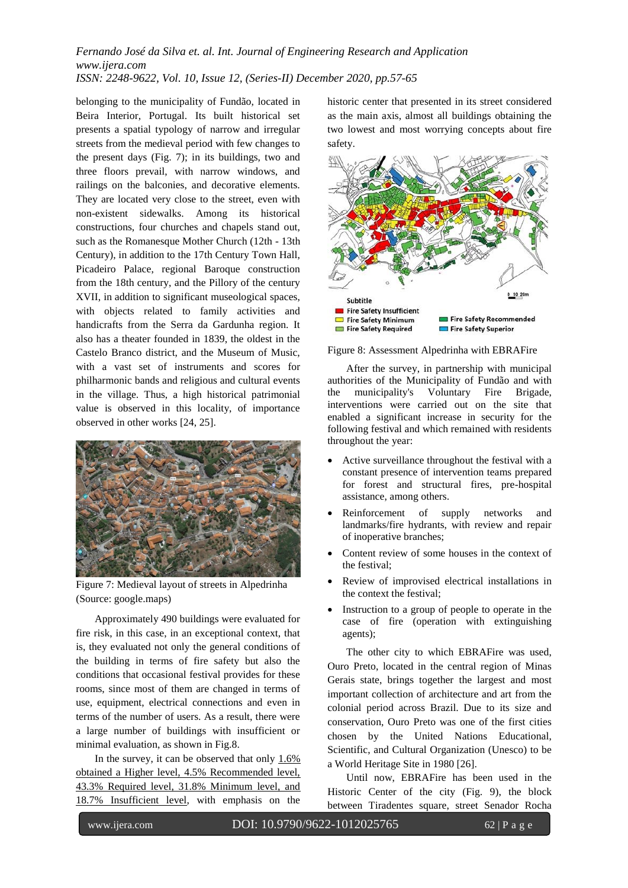belonging to the municipality of Fundão, located in Beira Interior, Portugal. Its built historical set presents a spatial typology of narrow and irregular streets from the medieval period with few changes to the present days (Fig. 7); in its buildings, two and three floors prevail, with narrow windows, and railings on the balconies, and decorative elements. They are located very close to the street, even with non-existent sidewalks. Among its historical constructions, four churches and chapels stand out, such as the Romanesque Mother Church (12th - 13th Century), in addition to the 17th Century Town Hall, Picadeiro Palace, regional Baroque construction from the 18th century, and the Pillory of the century XVII, in addition to significant museological spaces, with objects related to family activities and handicrafts from the Serra da Gardunha region. It also has a theater founded in 1839, the oldest in the Castelo Branco district, and the Museum of Music, with a vast set of instruments and scores for philharmonic bands and religious and cultural events in the village. Thus, a high historical patrimonial value is observed in this locality, of importance observed in other works [24, 25].



Figure 7: Medieval layout of streets in Alpedrinha (Source: google.maps)

Approximately 490 buildings were evaluated for fire risk, in this case, in an exceptional context, that is, they evaluated not only the general conditions of the building in terms of fire safety but also the conditions that occasional festival provides for these rooms, since most of them are changed in terms of use, equipment, electrical connections and even in terms of the number of users. As a result, there were a large number of buildings with insufficient or minimal evaluation, as shown in Fig.8.

In the survey, it can be observed that only  $1.6\%$ obtained a Higher level, 4.5% Recommended level, 43.3% Required level, 31.8% Minimum level, and 18.7% Insufficient level, with emphasis on the

historic center that presented in its street considered as the main axis, almost all buildings obtaining the two lowest and most worrying concepts about fire safety.



Figure 8: Assessment Alpedrinha with EBRAFire

After the survey, in partnership with municipal authorities of the Municipality of Fundão and with the municipality's Voluntary Fire Brigade, interventions were carried out on the site that enabled a significant increase in security for the following festival and which remained with residents throughout the year:

- Active surveillance throughout the festival with a constant presence of intervention teams prepared for forest and structural fires, pre-hospital assistance, among others.
- Reinforcement of supply networks and landmarks/fire hydrants, with review and repair of inoperative branches;
- Content review of some houses in the context of the festival;
- Review of improvised electrical installations in the context the festival;
- Instruction to a group of people to operate in the case of fire (operation with extinguishing agents);

The other city to which EBRAFire was used, Ouro Preto, located in the central region of Minas Gerais state, brings together the largest and most important collection of architecture and art from the colonial period across Brazil. Due to its size and conservation, Ouro Preto was one of the first cities chosen by the United Nations Educational, Scientific, and Cultural Organization (Unesco) to be a World Heritage Site in 1980 [26].

Until now, EBRAFire has been used in the Historic Center of the city (Fig. 9), the block between Tiradentes square, street Senador Rocha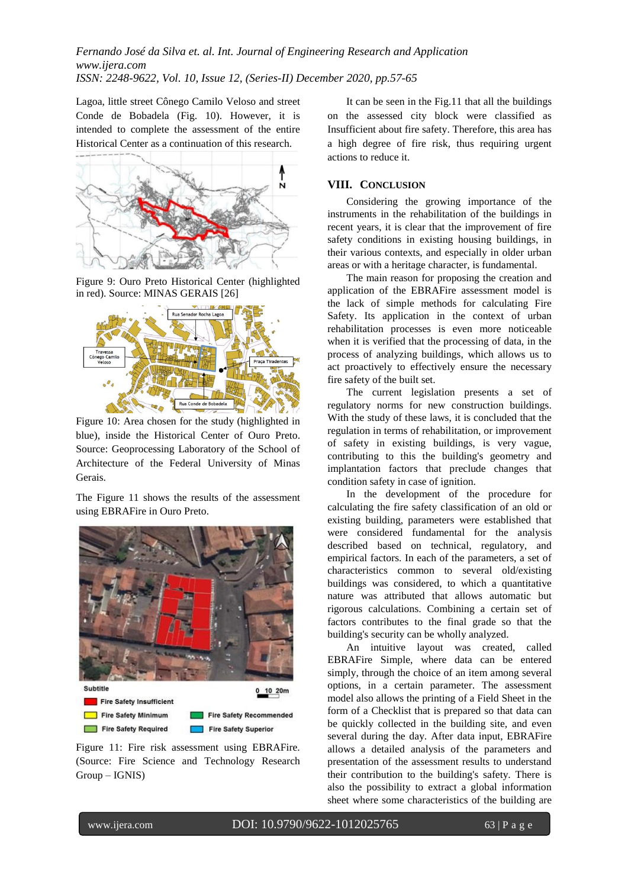Lagoa, little street Cônego Camilo Veloso and street Conde de Bobadela (Fig. 10). However, it is intended to complete the assessment of the entire Historical Center as a continuation of this research.



Figure 9: Ouro Preto Historical Center (highlighted in red). Source: MINAS GERAIS [26]



Figure 10: Area chosen for the study (highlighted in blue), inside the Historical Center of Ouro Preto. Source: Geoprocessing Laboratory of the School of Architecture of the Federal University of Minas Gerais.

The Figure 11 shows the results of the assessment using EBRAFire in Ouro Preto.



Figure 11: Fire risk assessment using EBRAFire. (Source: Fire Science and Technology Research Group – IGNIS)

It can be seen in the Fig.11 that all the buildings on the assessed city block were classified as Insufficient about fire safety. Therefore, this area has a high degree of fire risk, thus requiring urgent actions to reduce it.

# **VIII. CONCLUSION**

Considering the growing importance of the instruments in the rehabilitation of the buildings in recent years, it is clear that the improvement of fire safety conditions in existing housing buildings, in their various contexts, and especially in older urban areas or with a heritage character, is fundamental.

The main reason for proposing the creation and application of the EBRAFire assessment model is the lack of simple methods for calculating Fire Safety. Its application in the context of urban rehabilitation processes is even more noticeable when it is verified that the processing of data, in the process of analyzing buildings, which allows us to act proactively to effectively ensure the necessary fire safety of the built set.

The current legislation presents a set of regulatory norms for new construction buildings. With the study of these laws, it is concluded that the regulation in terms of rehabilitation, or improvement of safety in existing buildings, is very vague, contributing to this the building's geometry and implantation factors that preclude changes that condition safety in case of ignition.

In the development of the procedure for calculating the fire safety classification of an old or existing building, parameters were established that were considered fundamental for the analysis described based on technical, regulatory, and empirical factors. In each of the parameters, a set of characteristics common to several old/existing buildings was considered, to which a quantitative nature was attributed that allows automatic but rigorous calculations. Combining a certain set of factors contributes to the final grade so that the building's security can be wholly analyzed.

An intuitive layout was created, called EBRAFire Simple, where data can be entered simply, through the choice of an item among several options, in a certain parameter. The assessment model also allows the printing of a Field Sheet in the form of a Checklist that is prepared so that data can be quickly collected in the building site, and even several during the day. After data input, EBRAFire allows a detailed analysis of the parameters and presentation of the assessment results to understand their contribution to the building's safety. There is also the possibility to extract a global information sheet where some characteristics of the building are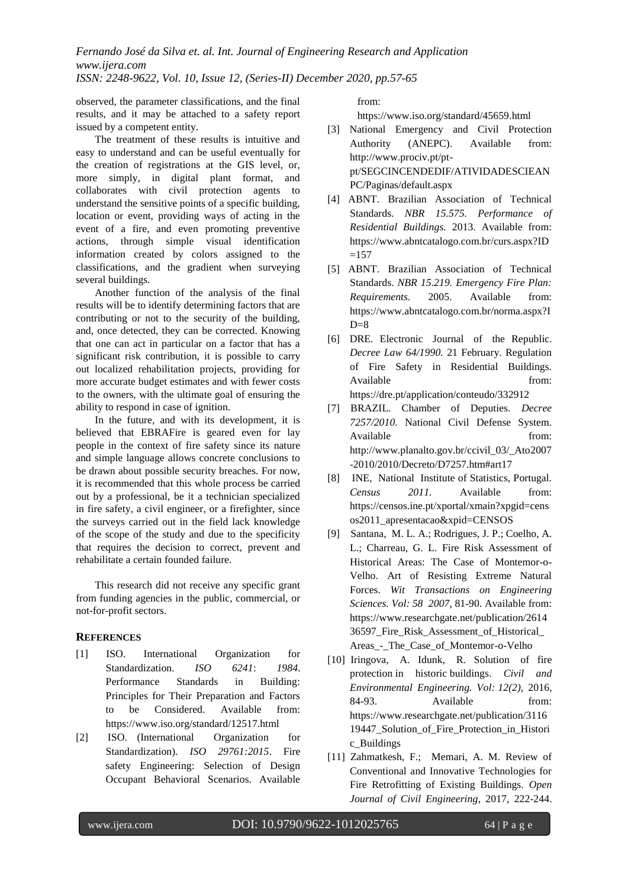observed, the parameter classifications, and the final results, and it may be attached to a safety report issued by a competent entity.

The treatment of these results is intuitive and easy to understand and can be useful eventually for the creation of registrations at the GIS level, or, more simply, in digital plant format, and collaborates with civil protection agents to understand the sensitive points of a specific building, location or event, providing ways of acting in the event of a fire, and even promoting preventive actions, through simple visual identification information created by colors assigned to the classifications, and the gradient when surveying several buildings.

Another function of the analysis of the final results will be to identify determining factors that are contributing or not to the security of the building, and, once detected, they can be corrected. Knowing that one can act in particular on a factor that has a significant risk contribution, it is possible to carry out localized rehabilitation projects, providing for more accurate budget estimates and with fewer costs to the owners, with the ultimate goal of ensuring the ability to respond in case of ignition.

In the future, and with its development, it is believed that EBRAFire is geared even for lay people in the context of fire safety since its nature and simple language allows concrete conclusions to be drawn about possible security breaches. For now, it is recommended that this whole process be carried out by a professional, be it a technician specialized in fire safety, a civil engineer, or a firefighter, since the surveys carried out in the field lack knowledge of the scope of the study and due to the specificity that requires the decision to correct, prevent and rehabilitate a certain founded failure.

This research did not receive any specific grant from funding agencies in the public, commercial, or not-for-profit sectors.

## **REFERENCES**

- [1] ISO. International Organization for Standardization. *ISO 6241*: *1984*. Performance Standards in Building: Principles for Their Preparation and Factors to be Considered. Available from: https://www.iso.org/standard/12517.html
- [2] ISO. (International Organization for Standardization). *ISO 29761:2015*. Fire safety Engineering: Selection of Design Occupant Behavioral Scenarios. Available

from:

https://www.iso.org/standard/45659.html

- [3] National Emergency and Civil Protection Authority (ANEPC). Available from: http://www.prociv.pt/ptpt/SEGCINCENDEDIF/ATIVIDADESCIEAN PC/Paginas/default.aspx
- [4] ABNT. Brazilian Association of Technical Standards. *NBR 15.575. Performance of Residential Buildings.* 2013. Available from: https://www.abntcatalogo.com.br/curs.aspx?ID  $=157$
- [5] ABNT. Brazilian Association of Technical Standards. *NBR 15.219. Emergency Fire Plan: Requirements.* 2005. Available from: https://www.abntcatalogo.com.br/norma.aspx?I  $D=8$
- [6] DRE. Electronic Journal of the Republic. *Decree Law 64/1990.* 21 February. Regulation of Fire Safety in Residential Buildings. Available from: <https://dre.pt/application/conteudo/332912>
- [7] BRAZIL. Chamber of Deputies. *Decree 7257/2010.* National Civil Defense System. Available from: http://www.planalto.gov.br/ccivil\_03/\_Ato2007 -2010/2010/Decreto/D7257.htm#art17
- [8] INE, National Institute of Statistics, Portugal. *Census 2011.* Available from: https://censos.ine.pt/xportal/xmain?xpgid=cens os2011\_apresentacao&xpid=CENSOS
- [9] Santana, M. L. A.; Rodrigues, J. P.; Coelho, A. L.; Charreau, G. L. Fire Risk Assessment of Historical Areas: The Case of Montemor-o-Velho. Art of Resisting Extreme Natural Forces. *Wit Transactions on Engineering Sciences. Vol: 58 2007,* 81-90. Available from: https://www.researchgate.net/publication/2614 36597\_Fire\_Risk\_Assessment\_of\_Historical\_ Areas\_-\_The\_Case\_of\_Montemor-o-Velho
- [10] [Iringova, A.](https://apps.webofknowledge.com/OutboundService.do?SID=6CLOl99iavYiB5eB673&mode=rrcAuthorRecordService&action=go&product=WOS&lang=pt_BR&daisIds=4405684) [Idunk,](https://apps.webofknowledge.com/OutboundService.do?SID=6CLOl99iavYiB5eB673&mode=rrcAuthorRecordService&action=go&product=WOS&lang=pt_BR&daisIds=10179827) R. Solution of fire protection in historic buildings. *Civil and Environmental Engineering. Vol: 12(2),* 2016, 84-93. Available from: https://www.researchgate.net/publication/3116 19447\_Solution\_of\_Fire\_Protection\_in\_Histori c\_Buildings
- [11] Zahmatkesh, F.; Memari, A. M. Review of Conventional and Innovative Technologies for Fire Retrofitting of Existing Buildings. *Open Journal of Civil Engineering*, 2017, 222-244.